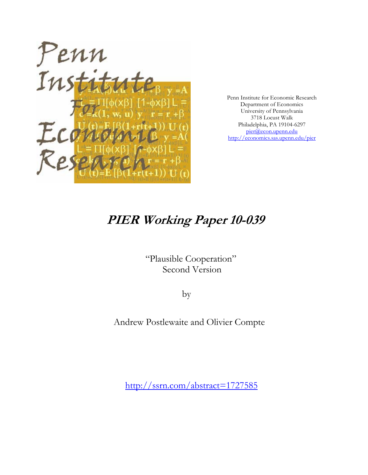

Penn Institute for Economic Research Department of Economics University of Pennsylvania 3718 Locust Walk Philadelphia, PA 19104-6297 pier@econ.upenn.edu http://economics.sas.upenn.edu/pier

# **PIER Working Paper 10-039**

"Plausible Cooperation" Second Version

by

Andrew Postlewaite and Olivier Compte

http://ssrn.com/abstract=1727585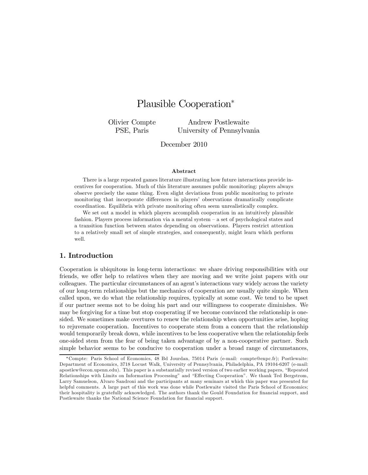## Plausible Cooperation<sup>∗</sup>

Olivier Compte PSE, Paris

Andrew Postlewaite University of Pennsylvania

December 2010

## Abstract

There is a large repeated games literature illustrating how future interactions provide incentives for cooperation. Much of this literature assumes public monitoring: players always observe precisely the same thing. Even slight deviations from public monitoring to private monitoring that incorporate differences in players' observations dramatically complicate coordination. Equilibria with private monitoring often seem unrealistically complex.

We set out a model in which players accomplish cooperation in an intuitively plausible fashion. Players process information via a mental system — a set of psychological states and a transition function between states depending on observations. Players restrict attention to a relatively small set of simple strategies, and consequently, might learn which perform well.

## 1. Introduction

Cooperation is ubiquitous in long-term interactions: we share driving responsibilities with our friends, we offer help to relatives when they are moving and we write joint papers with our colleagues. The particular circumstances of an agent's interactions vary widely across the variety of our long-term relationships but the mechanics of cooperation are usually quite simple. When called upon, we do what the relationship requires, typically at some cost. We tend to be upset if our partner seems not to be doing his part and our willingness to cooperate diminishes. We may be forgiving for a time but stop cooperating if we become convinced the relationship is onesided. We sometimes make overtures to renew the relationship when opportunities arise, hoping to rejuvenate cooperation. Incentives to cooperate stem from a concern that the relationship would temporarily break down, while incentives to be less cooperative when the relationship feels one-sided stem from the fear of being taken advantage of by a non-cooperative partner. Such simple behavior seems to be conducive to cooperation under a broad range of circumstances,

<sup>∗</sup>Compte: Paris School of Economics, 48 Bd Jourdan, 75014 Paris (e-mail: compte@enpc.fr); Postlewaite: Department of Economics, 3718 Locust Walk, University of Pennsylvania, Philadelphia, PA 19104-6207 (e-mail: apostlew@econ.upenn.edu). This paper is a substantially revised version of two earlier working papers, "Repeated Relationships with Limits on Information Processing" and "Effecting Cooperation". We thank Ted Bergstrom, Larry Samuelson, Alvaro Sandroni and the participants at many seminars at which this paper was presented for helpful comments. A large part of this work was done while Postlewaite visited the Paris School of Economics; their hospitality is gratefully acknowledged. The authors thank the Gould Foundation for financial support, and Postlewaite thanks the National Science Foundation for financial support.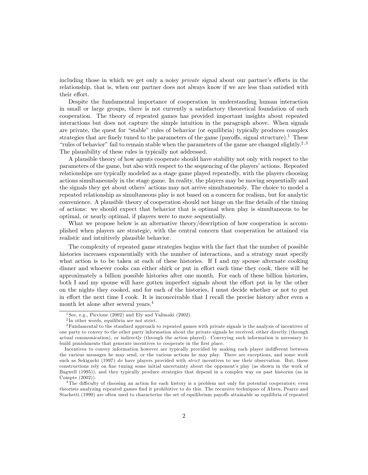including those in which we get only a noisy private signal about our partner's efforts in the relationship, that is, when our partner does not always know if we are less than satisfied with their effort.

Despite the fundamental importance of cooperation in understanding human interaction in small or large groups, there is not currently a satisfactory theoretical foundation of such cooperation. The theory of repeated games has provided important insights about repeated interactions but does not capture the simple intuition in the paragraph above. When signals are private, the quest for "stable" rules of behavior (or equilibria) typically produces complex strategies that are finely tuned to the parameters of the game (payoffs, signal structure).<sup>1</sup> These "rules of behavior" fail to remain stable when the parameters of the game are changed slightly.<sup>2,3</sup> The plausibility of these rules is typically not addressed.

A plausible theory of how agents cooperate should have stability not only with respect to the parameters of the game, but also with respect to the sequencing of the players' actions. Repeated relationships are typically modeled as a stage game played repeatedly, with the players choosing actions simultaneously in the stage game. In reality, the players may be moving sequentially and the signals they get about others' actions may not arrive simultaneously. The choice to model a repeated relationship as simultaneous play is not based on a concern for realism, but for analytic convenience. A plausible theory of cooperation should not hinge on the fine details of the timing of actions: we should expect that behavior that is optimal when play is simultaneous to be optimal, or nearly optimal, if players were to move sequentially.

What we propose below is an alternative theory/description of how cooperation is accomplished when players are strategic, with the central concern that cooperation be attained via realistic and intuitively plausible behavior.

The complexity of repeated game strategies begins with the fact that the number of possible histories increases exponentially with the number of interactions, and a strategy must specify what action is to be taken at each of these histories. If I and my spouse alternate cooking dinner and whoever cooks can either shirk or put in effort each time they cook, there will be approximately a billion possible histories after one month. For each of these billion histories, both I and my spouse will have gotten imperfect signals about the effort put in by the other on the nights they cooked, and for each of the histories, I must decide whether or not to put in effort the next time I cook. It is inconceivable that I recall the precise history after even a month let alone after several years.<sup>4</sup>

<sup>&</sup>lt;sup>1</sup> See, e.g., Piccione (2002) and Ely and Valimaki (2002).

 $^2{\rm In}$  other words, equilibria are not strict.

<sup>&</sup>lt;sup>3</sup>Fundamental to the standard approach to repeated games with private signals is the analysis of incentives of one party to convey to the other party information about the private signals he received, either directly (through actual communication), or indirectly (through the action played). Conveying such information is necessary to build punishments that generate incentives to cooperate in the first place.

Incentives to convey information however are typically provided by making each player indifferent between the various messages he may send, or the various actions he may play. There are exceptions, and some work such as Sekiguchi (1997) do have players provided with *strict* incentives to use their observation. But, these constructions rely on fine tuning some initial uncertainty about the opponent's play (as shown in the work of Bagwell (1995)), and they typically produce strategies that depend in a complex way on past histories (as in Compte (2002)).

<sup>&</sup>lt;sup>4</sup>The difficulty of choosing an action for each history is a problem not only for potential cooperators; even theorists analyzing repeated games find it prohibitive to do this. The recursive techniques of Abreu, Pearce and Stachetti (1990) are often used to characterize the set of equilibrium payoffs attainable as equilibria of repeated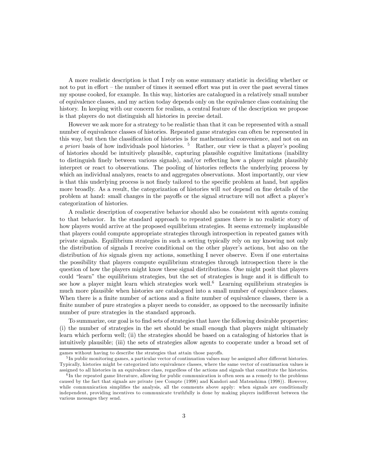A more realistic description is that I rely on some summary statistic in deciding whether or not to put in effort — the number of times it seemed effort was put in over the past several times my spouse cooked, for example. In this way, histories are catalogued in a relatively small number of equivalence classes, and my action today depends only on the equivalence class containing the history. In keeping with our concern for realism, a central feature of the description we propose is that players do not distinguish all histories in precise detail.

However we ask more for a strategy to be realistic than that it can be represented with a small number of equivalence classes of histories. Repeated game strategies can often be represented in this way, but then the classification of histories is for mathematical convenience, and not on an a priori basis of how individuals pool histories.  $5$  Rather, our view is that a player's pooling of histories should be intuitively plausible, capturing plausible cognitive limitations (inability to distinguish finely between various signals), and/or reflecting how a player might plausibly interpret or react to observations. The pooling of histories reflects the underlying process by which an individual analyzes, reacts to and aggregates observations. Most importantly, our view is that this underlying process is not finely tailored to the specific problem at hand, but applies more broadly. As a result, the categorization of histories will not depend on fine details of the problem at hand: small changes in the payoffs or the signal structure will not affect a player's categorization of histories.

A realistic description of cooperative behavior should also be consistent with agents coming to that behavior. In the standard approach to repeated games there is no realistic story of how players would arrive at the proposed equilibrium strategies. It seems extremely implausible that players could compute appropriate strategies through introspection in repeated games with private signals. Equilibrium strategies in such a setting typically rely on my knowing not only the distribution of signals I receive conditional on the other player's actions, but also on the distribution of his signals given my actions, something I never observe. Even if one entertains the possibility that players compute equilibrium strategies through introspection there is the question of how the players might know these signal distributions. One might posit that players could "learn" the equilibrium strategies, but the set of strategies is huge and it is difficult to see how a player might learn which strategies work well.<sup>6</sup> Learning equilibrium strategies is much more plausible when histories are catalogued into a small number of equivalence classes. When there is a finite number of actions and a finite number of equivalence classes, there is a finite number of pure strategies a player needs to consider, as opposed to the necessarily infinite number of pure strategies in the standard approach.

To summarize, our goal is to find sets of strategies that have the following desirable properties: (i) the number of strategies in the set should be small enough that players might ultimately learn which perform well; (ii) the strategies should be based on a cataloging of histories that is intuitively plausible; (iii) the sets of strategies allow agents to cooperate under a broad set of

games without having to describe the strategies that attain those payoffs.

 $5$  In public monitoring games, a particular vector of continuation values may be assigned after different histories. Typically, histories might be categorized into equivalence classes, where the same vector of continuation values is assigned to all histories in an equivalence class, regardless of the actions and signals that constitute the histories.

 $6$ In the repeated game literature, allowing for public communication is often seen as a remedy to the problems caused by the fact that signals are private (see Compte (1998) and Kandori and Matsushima (1998)). However, while communication simplifies the analysis, all the comments above apply: when signals are conditionally independent, providing incentives to communicate truthfully is done by making players indifferent between the various messages they send.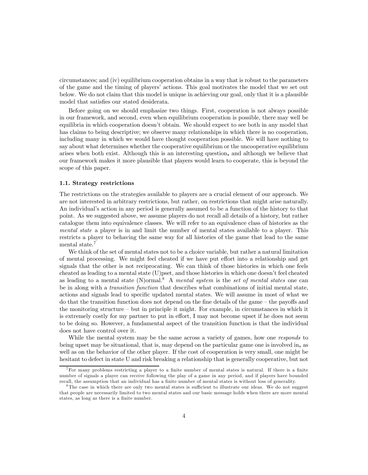circumstances; and (iv) equilibrium cooperation obtains in a way that is robust to the parameters of the game and the timing of players' actions. This goal motivates the model that we set out below. We do not claim that this model is unique in achieving our goal, only that it is a plausible model that satisfies our stated desiderata.

Before going on we should emphasize two things. First, cooperation is not always possible in our framework, and second, even when equilibrium cooperation is possible, there may well be equilibria in which cooperation doesn't obtain. We should expect to see both in any model that has claims to being descriptive; we observe many relationships in which there is no cooperation, including many in which we would have thought cooperation possible. We will have nothing to say about what determines whether the cooperative equilibrium or the uncooperative equilibrium arises when both exist. Although this is an interesting question, and although we believe that our framework makes it more plausible that players would learn to cooperate, this is beyond the scope of this paper.

## 1.1. Strategy restrictions

The restrictions on the strategies available to players are a crucial element of our approach. We are not interested in arbitrary restrictions, but rather, on restrictions that might arise naturally. An individual's action in any period is generally assumed to be a function of the history to that point. As we suggested above, we assume players do not recall all details of a history, but rather catalogue them into equivalence classes. We will refer to an equivalence class of histories as the mental state a player is in and limit the number of mental states available to a player. This restricts a player to behaving the same way for all histories of the game that lead to the same mental state.7

We think of the set of mental states not to be a choice variable, but rather a natural limitation of mental processing. We might feel cheated if we have put effort into a relationship and get signals that the other is not reciprocating. We can think of those histories in which one feels cheated as leading to a mental state (U)pset, and those histories in which one doesn't feel cheated as leading to a mental state  $(N)$ ormal.<sup>8</sup> A mental system is the set of mental states one can be in along with a transition function that describes what combinations of initial mental state, actions and signals lead to specific updated mental states. We will assume in most of what we do that the transition function does not depend on the fine details of the game — the payoffs and the monitoring structure — but in principle it might. For example, in circumstances in which it is extremely costly for my partner to put in effort, I may not become upset if he does not seem to be doing so. However, a fundamental aspect of the transition function is that the individual does not have control over it.

While the mental system may be the same across a variety of games, how one *responds* to being upset may be situational, that is, may depend on the particular game one is involved in, as well as on the behavior of the other player. If the cost of cooperation is very small, one might be hesitant to defect in state U and risk breaking a relationship that is generally cooperative, but not

<sup>7</sup>For many problems restricting a player to a finite number of mental states is natural. If there is a finite number of signals a player can receive following the play of a game in any period, and if players have bounded recall, the assumption that an individual has a finite number of mental states is without loss of generality.

<sup>&</sup>lt;sup>8</sup>The case in which there are only two mental states is sufficient to illustrate our ideas. We do not suggest that people are necessarily limited to two mental states and our basic message holds when there are more mental states, as long as there is a finite number.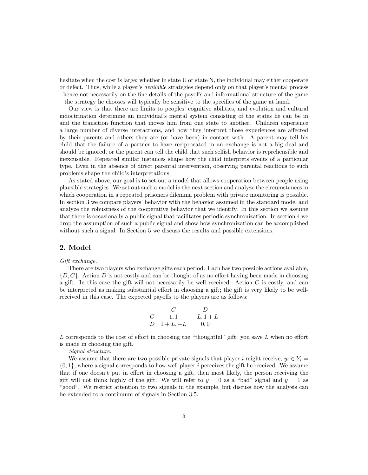hesitate when the cost is large; whether in state U or state N, the individual may either cooperate or defect. Thus, while a player's available strategies depend only on that player's mental process - hence not necessarily on the fine details of the payoffs and informational structure of the game — the strategy he chooses will typically be sensitive to the specifics of the game at hand.

Our view is that there are limits to peoples' cognitive abilities, and evolution and cultural indoctrination determine an individual's mental system consisting of the states he can be in and the transition function that moves him from one state to another. Children experience a large number of diverse interactions, and how they interpret those experiences are affected by their parents and others they are (or have been) in contact with. A parent may tell his child that the failure of a partner to have reciprocated in an exchange is not a big deal and should be ignored, or the parent can tell the child that such selfish behavior is reprehensible and inexcusable. Repeated similar instances shape how the child interprets events of a particular type. Even in the absence of direct parental intervention, observing parental reactions to such problems shape the child's interpretations.

As stated above, our goal is to set out a model that allows cooperation between people using plausible strategies. We set out such a model in the next section and analyze the circumstances in which cooperation in a repeated prisoners dilemma problem with private monitoring is possible. In section 3 we compare players' behavior with the behavior assumed in the standard model and analyze the robustness of the cooperative behavior that we identify. In this section we assume that there is occasionally a public signal that facilitates periodic synchronization. In section 4 we drop the assumption of such a public signal and show how synchronization can be accomplished without such a signal. In Section 5 we discuss the results and possible extensions.

## 2. Model

#### Gift exchange.

There are two players who exchange gifts each period. Each has two possible actions available,  $\{D, C\}$ . Action D is not costly and can be thought of as no effort having been made in choosing a gift. In this case the gift will not necessarily be well received. Action  $C$  is costly, and can be interpreted as making substantial effort in choosing a gift; the gift is very likely to be wellreceived in this case. The expected payoffs to the players are as follows:

$$
\begin{array}{ccc}\n & C & D \\
C & 1,1 & -L,1+L \\
D & 1+L,-L & 0,0\n\end{array}
$$

L corresponds to the cost of effort in choosing the "thoughtful" gift: you save  $L$  when no effort is made in choosing the gift.

Signal structure.

We assume that there are two possible private signals that player i might receive,  $y_i \in Y_i$  $\{0, 1\}$ , where a signal corresponds to how well player i perceives the gift he received. We assume that if one doesn't put in effort in choosing a gift, then most likely, the person receiving the gift will not think highly of the gift. We will refer to  $y = 0$  as a "bad" signal and  $y = 1$  as "good". We restrict attention to two signals in the example, but discuss how the analysis can be extended to a continuum of signals in Section 3.5.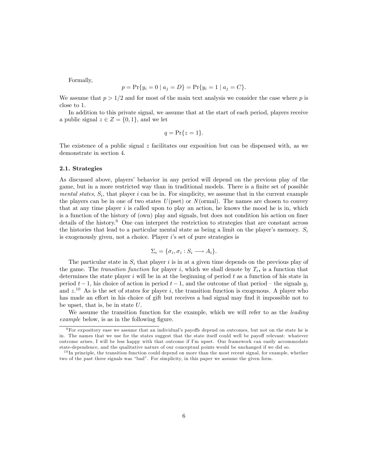Formally,

$$
p = \Pr\{y_i = 0 \mid a_j = D\} = \Pr\{y_i = 1 \mid a_j = C\}.
$$

We assume that  $p > 1/2$  and for most of the main text analysis we consider the case where p is close to 1.

In addition to this private signal, we assume that at the start of each period, players receive a public signal  $z \in Z = \{0, 1\}$ , and we let

$$
q = \Pr\{z = 1\}.
$$

The existence of a public signal z facilitates our exposition but can be dispensed with, as we demonstrate in section 4.

## 2.1. Strategies

As discussed above, players' behavior in any period will depend on the previous play of the game, but in a more restricted way than in traditional models. There is a finite set of possible mental states,  $S_i$ , that player i can be in. For simplicity, we assume that in the current example the players can be in one of two states  $U$  (pset) or  $N$  (ormal). The names are chosen to convey that at any time player  $i$  is called upon to play an action, he knows the mood he is in, which is a function of the history of (own) play and signals, but does not condition his action on finer details of the history.<sup>9</sup> One can interpret the restriction to strategies that are constant across the histories that lead to a particular mental state as being a limit on the player's memory.  $S_i$ is exogenously given, not a choice. Player i's set of pure strategies is

$$
\Sigma_i = \{\sigma_i, \sigma_i : S_i \longrightarrow A_i\}.
$$

The particular state in  $S_i$  that player i is in at a given time depends on the previous play of the game. The transition function for player i, which we shall denote by  $T_i$ , is a function that determines the state player i will be in at the beginning of period  $t$  as a function of his state in period  $t-1$ , his choice of action in period  $t-1$ , and the outcome of that period – the signals  $y_i$ and  $z^{10}$  As is the set of states for player i, the transition function is exogenous. A player who has made an effort in his choice of gift but receives a bad signal may find it impossible not to be upset, that is, be in state U.

We assume the transition function for the example, which we will refer to as the *leading* example below, is as in the following figure.

 $9F<sup>9</sup>$  For expository ease we assume that an individual's payoffs depend on outcomes, but not on the state he is in. The names that we use for the states suggest that the state itself could well be payoff relevant: whatever outcome arises, I will be less happy with that outcome if I'm upset. Our framework can easily accommodate state-dependence, and the qualitative nature of our conceptual points would be unchanged if we did so.

 $10$  In principle, the transition function could depend on more than the most recent signal, for example, whether two of the past three signals was "bad". For simplicity, in this paper we assume the given form.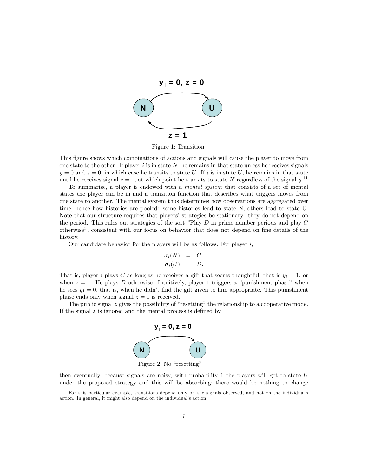

Figure 1: Transition

This figure shows which combinations of actions and signals will cause the player to move from one state to the other. If player  $i$  is in state  $N$ , he remains in that state unless he receives signals  $y = 0$  and  $z = 0$ , in which case he transits to state U. If i is in state U, he remains in that state until he receives signal  $z = 1$ , at which point he transits to state N regardless of the signal  $y$ .<sup>11</sup>

To summarize, a player is endowed with a mental system that consists of a set of mental states the player can be in and a transition function that describes what triggers moves from one state to another. The mental system thus determines how observations are aggregated over time, hence how histories are pooled: some histories lead to state N, others lead to state U. Note that our structure requires that players' strategies be stationary: they do not depend on the period. This rules out strategies of the sort "Play  $D$  in prime number periods and play  $C$ otherwise", consistent with our focus on behavior that does not depend on fine details of the history.

Our candidate behavior for the players will be as follows. For player  $i$ ,

$$
\begin{array}{rcl}\n\sigma_i(N) & = & C \\
\sigma_i(U) & = & D.\n\end{array}
$$

That is, player i plays C as long as he receives a gift that seems thoughtful, that is  $y_i = 1$ , or when  $z = 1$ . He plays D otherwise. Intuitively, player 1 triggers a "punishment phase" when he sees  $y_1 = 0$ , that is, when he didn't find the gift given to him appropriate. This punishment phase ends only when signal  $z = 1$  is received.

The public signal  $z$  gives the possibility of "resetting" the relationship to a cooperative mode. If the signal  $z$  is ignored and the mental process is defined by



then eventually, because signals are noisy, with probability 1 the players will get to state  $U$ under the proposed strategy and this will be absorbing: there would be nothing to change

<sup>&</sup>lt;sup>11</sup> For this particular example, transitions depend only on the signals observed, and not on the individual's action. In general, it might also depend on the individual's action.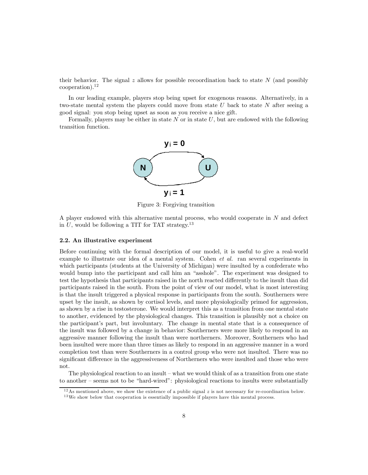their behavior. The signal z allows for possible recoordination back to state  $N$  (and possibly cooperation).<sup>12</sup>

In our leading example, players stop being upset for exogenous reasons. Alternatively, in a two-state mental system the players could move from state  $U$  back to state  $N$  after seeing a good signal: you stop being upset as soon as you receive a nice gift.

Formally, players may be either in state  $N$  or in state  $U$ , but are endowed with the following transition function.



Figure 3: Forgiving transition

A player endowed with this alternative mental process, who would cooperate in N and defect in U, would be following a TIT for TAT strategy.<sup>13</sup>

## 2.2. An illustrative experiment

Before continuing with the formal description of our model, it is useful to give a real-world example to illustrate our idea of a mental system. Cohen et al. ran several experiments in which participants (students at the University of Michigan) were insulted by a confederate who would bump into the participant and call him an "asshole". The experiment was designed to test the hypothesis that participants raised in the north reacted differently to the insult than did participants raised in the south. From the point of view of our model, what is most interesting is that the insult triggered a physical response in participants from the south. Southerners were upset by the insult, as shown by cortisol levels, and more physiologically primed for aggression, as shown by a rise in testosterone. We would interpret this as a transition from one mental state to another, evidenced by the physiological changes. This transition is plausibly not a choice on the participant's part, but involuntary. The change in mental state that is a consequence of the insult was followed by a change in behavior: Southerners were more likely to respond in an aggressive manner following the insult than were northerners. Moreover, Southerners who had been insulted were more than three times as likely to respond in an aggressive manner in a word completion test than were Southerners in a control group who were not insulted. There was no significant difference in the aggressiveness of Northerners who were insulted and those who were not.

The physiological reaction to an insult  $-$  what we would think of as a transition from one state to another — seems not to be "hard-wired": physiological reactions to insults were substantially

<sup>&</sup>lt;sup>12</sup>As mentioned above, we show the existence of a public signal z is not necessary for re-coordination below.

<sup>&</sup>lt;sup>13</sup>We show below that cooperation is essentially impossible if players have this mental process.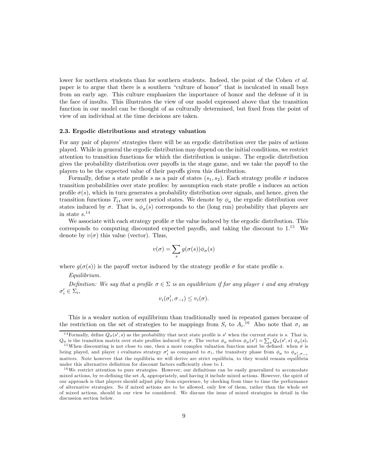lower for northern students than for southern students. Indeed, the point of the Cohen *et al.* paper is to argue that there is a southern "culture of honor" that is inculcated in small boys from an early age. This culture emphasizes the importance of honor and the defense of it in the face of insults. This illustrates the view of our model expressed above that the transition function in our model can be thought of as culturally determined, but fixed from the point of view of an individual at the time decisions are taken.

## 2.3. Ergodic distributions and strategy valuation

For any pair of players' strategies there will be an ergodic distribution over the pairs of actions played. While in general the ergodic distribution may depend on the initial conditions, we restrict attention to transition functions for which the distribution is unique. The ergodic distribution gives the probability distribution over payoffs in the stage game, and we take the payoff to the players to be the expected value of their payoffs given this distribution.

Formally, define a state profile s as a pair of states  $(s_1, s_2)$ . Each strategy profile  $\sigma$  induces transition probabilities over state profiles: by assumption each state profile s induces an action profile  $\sigma(s)$ , which in turn generates a probability distribution over signals, and hence, given the transition functions  $T_i$ , over next period states. We denote by  $\phi_{\sigma}$  the ergodic distribution over states induced by  $\sigma$ . That is,  $\phi_{\sigma}(s)$  corresponds to the (long run) probability that players are in state  $s$ <sup>14</sup>

We associate with each strategy profile  $\sigma$  the value induced by the ergodic distribution. This corresponds to computing discounted expected payoffs, and taking the discount to  $1^{15}$  We denote by  $v(\sigma)$  this value (vector). Thus,

$$
v(\sigma) = \sum_{s} g(\sigma(s)) \phi_{\sigma}(s)
$$

where  $g(\sigma(s))$  is the payoff vector induced by the strategy profile  $\sigma$  for state profile s.

Equilibrium.

Definition: We say that a profile  $\sigma \in \Sigma$  is an equilibrium if for any player i and any strategy  $\sigma'_i \in \Sigma_i$ ,

$$
v_i(\sigma'_i, \sigma_{-i}) \le v_i(\sigma).
$$

This is a weaker notion of equilibrium than traditionally used in repeated games because of the restriction on the set of strategies to be mappings from  $S_i$  to  $A_i$ .<sup>16</sup> Also note that  $\sigma_i$  as

<sup>&</sup>lt;sup>14</sup> Formally, define  $Q_{\sigma}(s', s)$  as the probability that next state profile is s' when the current state is s. That is,  $Q_{\sigma}$  is the transition matrix over state profiles induced by  $\sigma$ . The vector  $\phi_{\sigma}$  solves  $\phi_{\sigma}(s') = \sum_{s} Q_{\sigma}(s', s) \phi_{\sigma}(s)$ .<br><sup>15</sup>When discounting is not close to one, then a more complex valuation function must be

being played, and player i evaluates strategy  $\sigma'_i$  as compared to  $\sigma_i$ , the transitory phase from  $\phi_{\sigma}$  to  $\phi_{\sigma'_i, \sigma-i}$ matters. Note however that the equilibria we will derive are strict equilibria, to they would remain equilibria under this alternative definition for discount factors sufficiently close to 1.

<sup>&</sup>lt;sup>16</sup>We restrict attention to pure strategies. However, our definitions can be easily generalized to accomodate mixed actions, by re-defining the set  $A_i$  appropriately, and having it include mixed actions. However, the spirit of our approach is that players should adjust play from experience, by checking from time to time the performance of alternative strategies. So if mixed actions are to be allowed, only few of them, rather than the whole set of mixed actions, should in our view be considered. We discuss the issue of mixed strategies in detail in the discussion section below.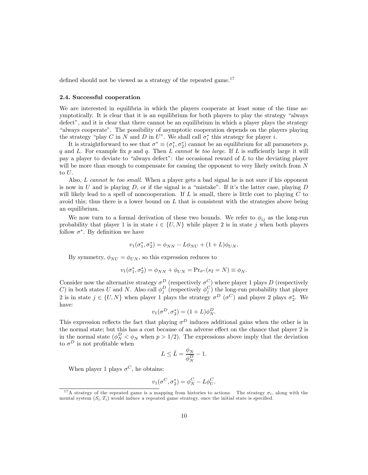defined should not be viewed as a strategy of the repeated game.<sup>17</sup>

#### 2.4. Successful cooperation

We are interested in equilibria in which the players cooperate at least some of the time asymptotically. It is clear that it is an equilibrium for both players to play the strategy "always defect", and it is clear that there cannot be an equilibrium in which a player plays the strategy "always cooperate". The possibility of asymptotic cooperation depends on the players playing the strategy "play C in N and D in U". We shall call  $\sigma_i^*$  this strategy for player i.

It is straightforward to see that  $\sigma^* \equiv (\sigma_1^*, \sigma_2^*)$  cannot be an equilibrium for all parameters p, q and L. For example fix  $p$  and  $q$ . Then L cannot be too large. If L is sufficiently large it will pay a player to deviate to "always defect": the occasional reward of L to the deviating player will be more than enough to compensate for causing the opponent to very likely switch from N to U.

Also, L cannot be too small. When a player gets a bad signal he is not sure if his opponent is now in U and is playing  $D$ , or if the signal is a "mistake". If it's the latter case, playing  $D$ will likely lead to a spell of noncooperation. If  $L$  is small, there is little cost to playing  $C$  to avoid this; thus there is a lower bound on  $L$  that is consistent with the strategies above being an equilibrium.

We now turn to a formal derivation of these two bounds. We refer to  $\phi_{ij}$  as the long-run probability that player 1 is in state  $i \in \{U, N\}$  while player 2 is in state j when both players follow  $\sigma^*$ . By definition we have

$$
v_1(\sigma_1^*, \sigma_2^*) = \phi_{NN} - L\phi_{NU} + (1+L)\phi_{UN}.
$$

By symmetry,  $\phi_{NU} = \phi_{UN}$ , so this expression reduces to

$$
v_1(\sigma_1^*, \sigma_2^*) = \phi_{NN} + \phi_{UN} = Pr_{\sigma^*}(s_2 = N) \equiv \phi_N.
$$

Consider now the alternative strategy  $\sigma^D$  (respectively  $\sigma^C$ ) where player 1 plays D (respectively C) in both states U and N. Also call  $\phi_j^D$  (respectively  $\phi_j^C$ ) the long-run probability that player 2 is in state  $j \in \{U, N\}$  when player 1 plays the strategy  $\sigma^D$  ( $\sigma^C$ ) and player 2 plays  $\sigma_2^*$ . We have:

$$
v_1(\sigma^D, \sigma_2^*) = (1 + L)\phi_N^D.
$$

This expression reflects the fact that playing  $\sigma^D$  induces additional gains when the other is in the normal state; but this has a cost because of an adverse effect on the chance that player 2 is in the normal state  $(\phi_N^D < \phi_N$  when  $p > 1/2)$ . The expressions above imply that the deviation to  $\sigma^D$  is not profitable when

$$
L \le \bar{L} = \frac{\phi_N}{\phi_N^D} - 1.
$$

When player 1 plays  $\sigma^C$ , he obtains:

$$
v_1(\sigma^C, \sigma_2^*) = \phi_N^C - L\phi_U^C.
$$

<sup>&</sup>lt;sup>17</sup>A strategy of the repeated game is a mapping from histories to actions. The strategy  $\sigma_i$ , along with the mental system  $(S_i, T_i)$  would induce a repeated game strategy, once the initial state is specified.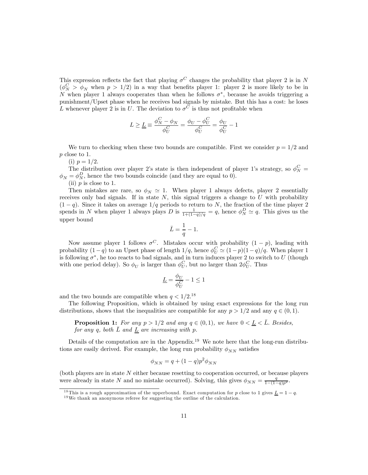This expression reflects the fact that playing  $\sigma^C$  changes the probability that player 2 is in N  $(\phi_N^C > \phi_N)$  when  $p > 1/2$  in a way that benefits player 1: player 2 is more likely to be in N when player 1 always cooperates than when he follows  $\sigma^*$ , because he avoids triggering a punishment/Upset phase when he receives bad signals by mistake. But this has a cost: he loses L whenever player 2 is in U. The deviation to  $\sigma^C$  is thus not profitable when

$$
L \ge \underline{L} \equiv \frac{\phi_N^C - \phi_N}{\phi_U^C} = \frac{\phi_U - \phi_U^C}{\phi_U^C} = \frac{\phi_U}{\phi_U^C} - 1
$$

We turn to checking when these two bounds are compatible. First we consider  $p = 1/2$  and p close to 1.

(i)  $p = 1/2$ .

The distribution over player 2's state is then independent of player 1's strategy, so  $\phi_N^C$  =  $\phi_N = \phi_N^D$ , hence the two bounds coincide (and they are equal to 0).

(ii)  $p$  is close to 1.

Then mistakes are rare, so  $\phi_N \simeq 1$ . When player 1 always defects, player 2 essentially receives only bad signals. If in state  $N$ , this signal triggers a change to  $U$  with probability  $(1 - q)$ . Since it takes on average  $1/q$  periods to return to N, the fraction of the time player 2 spends in N when player 1 always plays D is  $\frac{1}{1+(1-q)/q} = q$ , hence  $\phi_N^D \simeq q$ . This gives us the upper bound

$$
\bar{L} = \frac{1}{q} - 1.
$$

Now assume player 1 follows  $\sigma^C$ . Mistakes occur with probability  $(1 - p)$ , leading with probability  $(1-q)$  to an Upset phase of length  $1/q$ , hence  $\phi_U^C \simeq (1-p)(1-q)/q$ . When player 1 is following  $\sigma^*$ , he too reacts to bad signals, and in turn induces player 2 to switch to U (though with one period delay). So  $\phi_U$  is larger than  $\phi_U^C$ , but no larger than  $2\phi_U^C$ . Thus

$$
\underline{L}=\frac{\phi_U}{\phi_U^C}-1\leq 1
$$

and the two bounds are compatible when  $q < 1/2$ .<sup>18</sup>

The following Proposition, which is obtained by using exact expressions for the long run distributions, shows that the inequalities are compatible for any  $p > 1/2$  and any  $q \in (0, 1)$ .

**Proposition 1:** For any  $p > 1/2$  and any  $q \in (0, 1)$ , we have  $0 < \underline{L} < \overline{L}$ . Besides, for any q, both  $\overline{L}$  and  $\underline{L}$  are increasing with p.

Details of the computation are in the Appendix.<sup>19</sup> We note here that the long-run distributions are easily derived. For example, the long run probability  $\phi_{NN}$  satisfies

$$
\phi_{NN} = q + (1-q)p^2 \phi_{NN}
$$

(both players are in state N either because resetting to cooperation occurred, or because players were already in state N and no mistake occurred). Solving, this gives  $\phi_{NN} = \frac{q}{1-(1-q)p^2}$ .

<sup>&</sup>lt;sup>18</sup>This is a rough approximation of the upperbound. Exact computation for p close to 1 gives  $\underline{L} = 1 - q$ .<br><sup>19</sup>We thank an anonymous referee for suggesting the outline of the calculation.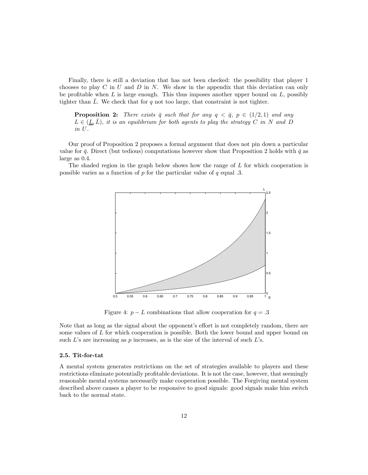Finally, there is still a deviation that has not been checked: the possibility that player 1 chooses to play C in U and D in N. We show in the appendix that this deviation can only be profitable when  $L$  is large enough. This thus imposes another upper bound on  $L$ , possibly tighter than  $\overline{L}$ . We check that for q not too large, that constraint is not tighter.

**Proposition 2:** There exists  $\bar{q}$  such that for any  $q < \bar{q}$ ,  $p \in (1/2, 1)$  and any  $L \in (\underline{L}, \overline{L})$ , it is an equilibrium for both agents to play the strategy C in N and D in U.

Our proof of Proposition 2 proposes a formal argument that does not pin down a particular value for  $\bar{q}$ . Direct (but tedious) computations however show that Proposition 2 holds with  $\bar{q}$  as large as 0.4.

The shaded region in the graph below shows how the range of L for which cooperation is possible varies as a function of  $p$  for the particular value of  $q$  equal .3.



Figure 4:  $p - L$  combinations that allow cooperation for  $q = .3$ 

Note that as long as the signal about the opponent's effort is not completely random, there are some values of L for which cooperation is possible. Both the lower bound and upper bound on such  $L$ 's are increasing as  $p$  increases, as is the size of the interval of such  $L$ 's.

## 2.5. Tit-for-tat

A mental system generates restrictions on the set of strategies available to players and these restrictions eliminate potentially profitable deviations. It is not the case, however, that seemingly reasonable mental systems necessarily make cooperation possible. The Forgiving mental system described above causes a player to be responsive to good signals: good signals make him switch back to the normal state.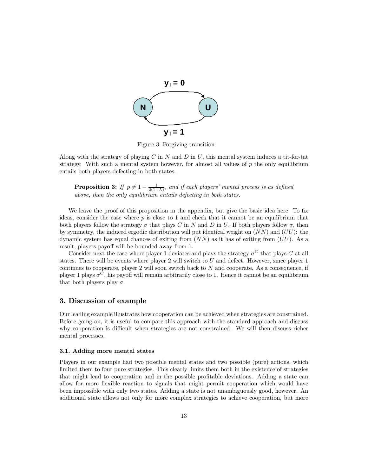

Figure 3: Forgiving transition

Along with the strategy of playing C in N and D in U, this mental system induces a tit-for-tat strategy. With such a mental system however, for almost all values of  $p$  the only equilibrium entails both players defecting in both states.

**Proposition 3:** If  $p \neq 1 - \frac{1}{2(1+L)}$ , and if each players' mental process is as defined above, then the only equilibrium entails defecting in both states.

We leave the proof of this proposition in the appendix, but give the basic idea here. To fix ideas, consider the case where  $p$  is close to 1 and check that it cannot be an equilibrium that both players follow the strategy  $\sigma$  that plays C in N and D in U. If both players follow  $\sigma$ , then by symmetry, the induced ergodic distribution will put identical weight on  $(NN)$  and  $(UU)$ : the dynamic system has equal chances of exiting from  $(NN)$  as it has of exiting from  $(UU)$ . As a result, players payoff will be bounded away from 1.

Consider next the case where player 1 deviates and plays the strategy  $\sigma^C$  that plays C at all states. There will be events where player  $2$  will switch to  $U$  and defect. However, since player  $1$ continues to cooperate, player  $2$  will soon switch back to  $N$  and cooperate. As a consequence, if player 1 plays  $\sigma^C$ , his payoff will remain arbitrarily close to 1. Hence it cannot be an equilibrium that both players play  $\sigma$ .

## 3. Discussion of example

Our leading example illustrates how cooperation can be achieved when strategies are constrained. Before going on, it is useful to compare this approach with the standard approach and discuss why cooperation is difficult when strategies are not constrained. We will then discuss richer mental processes.

#### 3.1. Adding more mental states

Players in our example had two possible mental states and two possible (pure) actions, which limited them to four pure strategies. This clearly limits them both in the existence of strategies that might lead to cooperation and in the possible profitable deviations. Adding a state can allow for more flexible reaction to signals that might permit cooperation which would have been impossible with only two states. Adding a state is not unambiguously good, however. An additional state allows not only for more complex strategies to achieve cooperation, but more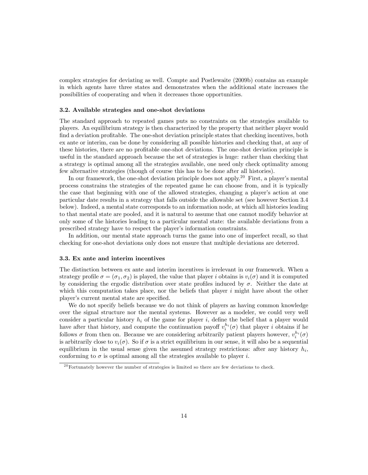complex strategies for deviating as well. Compte and Postlewaite (2009b) contains an example in which agents have three states and demonstrates when the additional state increases the possibilities of cooperating and when it decreases those opportunities.

#### 3.2. Available strategies and one-shot deviations

The standard approach to repeated games puts no constraints on the strategies available to players. An equilibrium strategy is then characterized by the property that neither player would find a deviation profitable. The one-shot deviation principle states that checking incentives, both ex ante or interim, can be done by considering all possible histories and checking that, at any of these histories, there are no profitable one-shot deviations. The one-shot deviation principle is useful in the standard approach because the set of strategies is huge: rather than checking that a strategy is optimal among all the strategies available, one need only check optimality among few alternative strategies (though of course this has to be done after all histories).

In our framework, the one-shot deviation principle does not apply.<sup>20</sup> First, a player's mental process constrains the strategies of the repeated game he can choose from, and it is typically the case that beginning with one of the allowed strategies, changing a player's action at one particular date results in a strategy that falls outside the allowable set (see however Section 3.4 below). Indeed, a mental state corresponds to an information node, at which all histories leading to that mental state are pooled, and it is natural to assume that one cannot modify behavior at only some of the histories leading to a particular mental state: the available deviations from a prescribed strategy have to respect the player's information constraints.

In addition, our mental state approach turns the game into one of imperfect recall, so that checking for one-shot deviations only does not ensure that multiple deviations are deterred.

### 3.3. Ex ante and interim incentives

The distinction between ex ante and interim incentives is irrelevant in our framework. When a strategy profile  $\sigma = (\sigma_1, \sigma_2)$  is played, the value that player i obtains is  $v_i(\sigma)$  and it is computed by considering the ergodic distribution over state profiles induced by  $\sigma$ . Neither the date at which this computation takes place, nor the beliefs that player  $i$  might have about the other player's current mental state are specified.

We do not specify beliefs because we do not think of players as having common knowledge over the signal structure nor the mental systems. However as a modeler, we could very well consider a particular history  $h_i$  of the game for player  $i$ , define the belief that a player would have after that history, and compute the continuation payoff  $v_i^{h_i}(\sigma)$  that player i obtains if he follows  $\sigma$  from then on. Because we are considering arbitrarily patient players however,  $v_i^{h_i}(\sigma)$ is arbitrarily close to  $v_i(\sigma)$ . So if  $\sigma$  is a strict equilibrium in our sense, it will also be a sequential equilibrium in the usual sense given the assumed strategy restrictions: after any history  $h_i$ , conforming to  $\sigma$  is optimal among all the strategies available to player i.

 $20$  Fortunately however the number of strategies is limited so there are few deviations to check.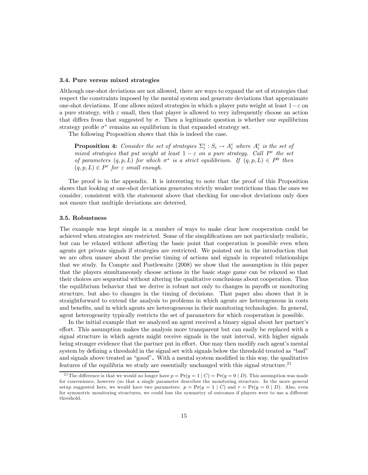#### 3.4. Pure versus mixed strategies

Although one-shot deviations are not allowed, there are ways to expand the set of strategies that respect the constraints imposed by the mental system and generate deviations that approximate one-shot deviations. If one allows mixed strategies in which a player puts weight at least  $1-\varepsilon$  on a pure strategy, with  $\varepsilon$  small, then that player is allowed to very infrequently choose an action that differs from that suggested by  $\sigma$ . Then a legitimate question is whether our equilibrium strategy profile  $\sigma^*$  remains an equilibrium in that expanded strategy set.

The following Proposition shows that this is indeed the case.

**Proposition 4:** Consider the set of strategies  $\Sigma_i^{\varepsilon}: S_i \to A_i^{\varepsilon}$  where  $A_i^{\varepsilon}$  is the set of mixed strategies that put weight at least  $1 - \varepsilon$  on a pure strategy. Call  $P^{\varepsilon}$  the set of parameters  $(q, p, L)$  for which  $\sigma^*$  is a strict equilibrium. If  $(q, p, L) \in P^0$  then  $(q, p, L) \in P^{\varepsilon}$  for  $\varepsilon$  small enough.

The proof is in the appendix. It is interesting to note that the proof of this Proposition shows that looking at one-shot deviations generates strictly weaker restrictions than the ones we consider, consistent with the statement above that checking for one-shot deviations only does not ensure that multiple deviations are deterred.

#### 3.5. Robustness

The example was kept simple in a number of ways to make clear how cooperation could be achieved when strategies are restricted. Some of the simplifications are not particularly realistic, but can be relaxed without affecting the basic point that cooperation is possible even when agents get private signals if strategies are restricted. We pointed out in the introduction that we are often unsure about the precise timing of actions and signals in repeated relationships that we study. In Compte and Postlewaite (2008) we show that the assumption in this paper that the players simultaneously choose actions in the basic stage game can be relaxed so that their choices are sequential without altering the qualitative conclusions about cooperation. Thus the equilibrium behavior that we derive is robust not only to changes in payoffs or monitoring structure, but also to changes in the timing of decisions. That paper also shows that it is straightforward to extend the analysis to problems in which agents are heterogeneous in costs and benefits, and in which agents are heterogeneous in their monitoring technologies. In general, agent heterogeneity typically restricts the set of parameters for which cooperation is possible.

In the initial example that we analyzed an agent received a binary signal about her partner's effort. This assumption makes the analysis more transparent but can easily be replaced with a signal structure in which agents might receive signals in the unit interval, with higher signals being stronger evidence that the partner put in effort. One may then modify each agent's mental system by defining a threshold in the signal set with signals below the threshold treated as "bad" and signals above treated as "good". With a mental system modified in this way, the qualitative features of the equilibria we study are essentially unchanged with this signal structure.<sup>21</sup>

<sup>&</sup>lt;sup>21</sup> The difference is that we would no longer have  $p = Pr(y = 1 | C) = Pr(y = 0 | D)$ . This assumption was made for convenience, however (so that a single parameter describes the monitoring structure. In the more general setup suggested here, we would have two parameters:  $p = Pr(y = 1 | C)$  and  $r = Pr(y = 0 | D)$ . Also, even for symmetric monitoring structures, we could lose the symmetry of outcomes if players were to use a different threshold.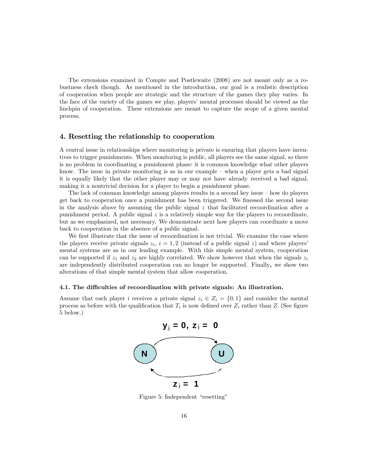The extensions examined in Compte and Postlewaite (2008) are not meant only as a robustness check though. As mentioned in the introduction, our goal is a realistic description of cooperation when people are strategic and the structure of the games they play varies. In the face of the variety of the games we play, players' mental processes should be viewed as the linchpin of cooperation. These extensions are meant to capture the scope of a given mental process.

## 4. Resetting the relationship to cooperation

A central issue in relationships where monitoring is private is ensuring that players have incentives to trigger punishments. When monitoring is public, all players see the same signal, so there is no problem in coordinating a punishment phase: it is common knowledge what other players know. The issue in private monitoring is as in our example — when a player gets a bad signal it is equally likely that the other player may or may not have already received a bad signal, making it a nontrivial decision for a player to begin a punishment phase.

The lack of common knowledge among players results in a second key issue — how do players get back to cooperation once a punishment has been triggered. We finessed the second issue in the analysis above by assuming the public signal  $z$  that facilitated recoordination after a punishment period. A public signal  $z$  is a relatively simple way for the players to recoordinate, but as we emphasized, not necessary. We demonstrate next how players can coordinate a move back to cooperation in the absence of a public signal.

We first illustrate that the issue of recoordination is not trivial. We examine the case where the players receive private signals  $z_i$ ,  $i = 1, 2$  (instead of a public signal z) and where players' mental systems are as in our leading example. With this simple mental system, cooperation can be supported if  $z_1$  and  $z_2$  are highly correlated. We show however that when the signals  $z_i$ are independently distributed cooperation can no longer be supported. Finally, we show two alterations of that simple mental system that allow cooperation.

## 4.1. The difficulties of recoordination with private signals: An illustration.

Assume that each player i receives a private signal  $z_i \in Z_i = \{0,1\}$  and consider the mental process as before with the qualification that  $T_i$  is now defined over  $Z_i$  rather than Z. (See figure 5 below.)



Figure 5: Independent "resetting"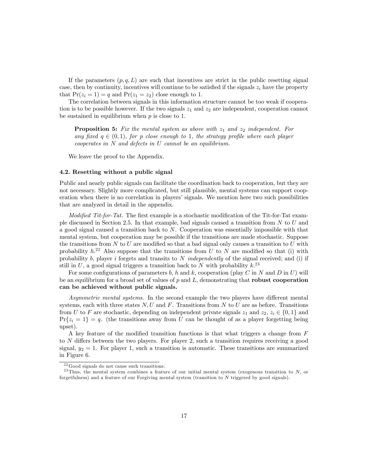If the parameters  $(p, q, L)$  are such that incentives are strict in the public resetting signal case, then by continuity, incentives will continue to be satisfied if the signals  $z_i$  have the property that  $Pr(z_i = 1) = q$  and  $Pr(z_1 = z_2)$  close enough to 1.

The correlation between signals in this information structure cannot be too weak if cooperation is to be possible however. If the two signals  $z_1$  and  $z_2$  are independent, cooperation cannot be sustained in equilibrium when  $p$  is close to 1.

**Proposition 5:** Fix the mental system as above with  $z_1$  and  $z_2$  independent. For any fixed  $q \in (0, 1)$ , for p close enough to 1, the strategy profile where each player cooperates in N and defects in U cannot be an equilibrium.

We leave the proof to the Appendix.

## 4.2. Resetting without a public signal

Public and nearly public signals can facilitate the coordination back to cooperation, but they are not necessary. Slightly more complicated, but still plausible, mental systems can support cooperation when there is no correlation in players' signals. We mention here two such possibilities that are analyzed in detail in the appendix.

Modified Tit-for-Tat. The first example is a stochastic modification of the Tit-for-Tat example discussed in Section 2.5. In that example, bad signals caused a transition from N to U and a good signal caused a transition back to  $N$ . Cooperation was essentially impossible with that mental system, but cooperation may be possible if the transitions are made stochastic. Suppose the transitions from  $N$  to  $U$  are modified so that a bad signal only causes a transition to  $U$  with probability  $h^{22}$  Also suppose that the transitions from U to N are modified so that (i) with probability b, player i forgets and transits to N independently of the signal received; and (i) if still in U, a good signal triggers a transition back to N with probability  $k^{23}$ 

For some configurations of parameters b, h and k, cooperation (play C in N and D in U) will be an equilibrium for a broad set of values of  $p$  and  $L$ , demonstrating that **robust cooperation** can be achieved without public signals.

Asymmetric mental systems. In the second example the two players have different mental systems, each with three states  $N, U$  and F. Transitions from N to U are as before. Transitions from U to F are stochastic, depending on independent private signals  $z_1$  and  $z_2$ ,  $z_i \in \{0,1\}$  and  $Pr{z_i = 1} = q$ . (the transitions away from U can be thought of as a player forgetting being upset).

A key feature of the modified transition functions is that what triggers a change from F to N differs between the two players. For player 2, such a transition requires receiving a good signal,  $y_2 = 1$ . For player 1, such a transition is automatic. These transitions are summarized in Figure 6.

 $22$  Good signals do not cause such transitions.

 $^{23}$ Thus, the mental system combines a feature of our initial mental system (exogenous transition to N, or forgetfulness) and a feature of our Forgiving mental system (transition to N triggered by good signals).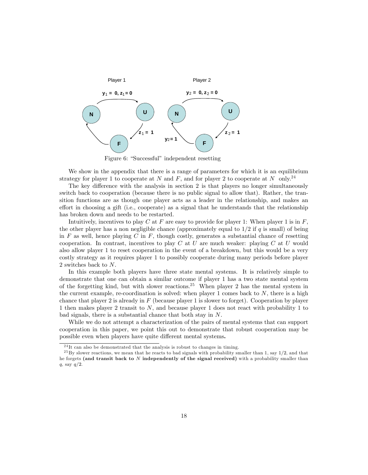

Figure 6: "Successful" independent resetting

We show in the appendix that there is a range of parameters for which it is an equilibrium strategy for player 1 to cooperate at N and F, and for player 2 to cooperate at N only.<sup>24</sup>

The key difference with the analysis in section 2 is that players no longer simultaneously switch back to cooperation (because there is no public signal to allow that). Rather, the transition functions are as though one player acts as a leader in the relationship, and makes an effort in choosing a gift (i.e., cooperate) as a signal that he understands that the relationship has broken down and needs to be restarted.

Intuitively, incentives to play C at F are easy to provide for player 1: When player 1 is in F, the other player has a non negligible chance (approximately equal to  $1/2$  if q is small) of being in F as well, hence playing C in F, though costly, generates a substantial chance of resetting cooperation. In contrast, incentives to play  $C$  at  $U$  are much weaker: playing  $C$  at  $U$  would also allow player 1 to reset cooperation in the event of a breakdown, but this would be a very costly strategy as it requires player 1 to possibly cooperate during many periods before player 2 switches back to N.

In this example both players have three state mental systems. It is relatively simple to demonstrate that one can obtain a similar outcome if player 1 has a two state mental system of the forgetting kind, but with slower reactions.<sup>25</sup> When player 2 has the mental system in the current example, re-coordination is solved: when player 1 comes back to  $N$ , there is a high chance that player 2 is already in  $F$  (because player 1 is slower to forget). Cooperation by player 1 then makes player 2 transit to N, and because player 1 does not react with probability 1 to bad signals, there is a substantial chance that both stay in N.

While we do not attempt a characterization of the pairs of mental systems that can support cooperation in this paper, we point this out to demonstrate that robust cooperation may be possible even when players have quite different mental systems.

 $^{24}$ It can also be demonstrated that the analysis is robust to changes in timing.

 $^{25}$  By slower reactions, we mean that he reacts to bad signals with probability smaller than 1, say  $1/2$ , and that he forgets (and transit back to N independently of the signal received) with a probability smaller than  $q$ , say  $q/2$ .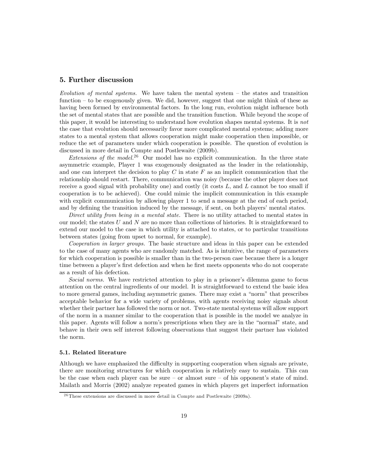## 5. Further discussion

Evolution of mental systems. We have taken the mental system  $-$  the states and transition function — to be exogenously given. We did, however, suggest that one might think of these as having been formed by environmental factors. In the long run, evolution might influence both the set of mental states that are possible and the transition function. While beyond the scope of this paper, it would be interesting to understand how evolution shapes mental systems. It is not the case that evolution should necessarily favor more complicated mental systems; adding more states to a mental system that allows cooperation might make cooperation then impossible, or reduce the set of parameters under which cooperation is possible. The question of evolution is discussed in more detail in Compte and Postlewaite (2009b).

Extensions of the model.<sup>26</sup> Our model has no explicit communication. In the three state asymmetric example, Player 1 was exogenously designated as the leader in the relationship, and one can interpret the decision to play C in state  $F$  as an implicit communication that the relationship should restart. There, communication was noisy (because the other player does not receive a good signal with probability one) and costly (it costs  $L$ , and  $L$  cannot be too small if cooperation is to be achieved). One could mimic the implicit communication in this example with explicit communication by allowing player 1 to send a message at the end of each period, and by defining the transition induced by the message, if sent, on both players' mental states.

Direct utility from being in a mental state. There is no utility attached to mental states in our model; the states  $U$  and  $N$  are no more than collections of histories. It is straightforward to extend our model to the case in which utility is attached to states, or to particular transitions between states (going from upset to normal, for example).

Cooperation in larger groups. The basic structure and ideas in this paper can be extended to the case of many agents who are randomly matched. As is intuitive, the range of parameters for which cooperation is possible is smaller than in the two-person case because there is a longer time between a player's first defection and when he first meets opponents who do not cooperate as a result of his defection.

Social norms. We have restricted attention to play in a prisoner's dilemma game to focus attention on the central ingredients of our model. It is straightforward to extend the basic idea to more general games, including asymmetric games. There may exist a "norm" that prescribes acceptable behavior for a wide variety of problems, with agents receiving noisy signals about whether their partner has followed the norm or not. Two-state mental systems will allow support of the norm in a manner similar to the cooperation that is possible in the model we analyze in this paper. Agents will follow a norm's prescriptions when they are in the "normal" state, and behave in their own self interest following observations that suggest their partner has violated the norm.

## 5.1. Related literature

Although we have emphasized the difficulty in supporting cooperation when signals are private, there are monitoring structures for which cooperation is relatively easy to sustain. This can be the case when each player can be sure – or almost sure – of his opponent's state of mind. Mailath and Morris (2002) analyze repeated games in which players get imperfect information

 $^{26}$ These extensions are discussed in more detail in Compte and Postlewaite (2009a).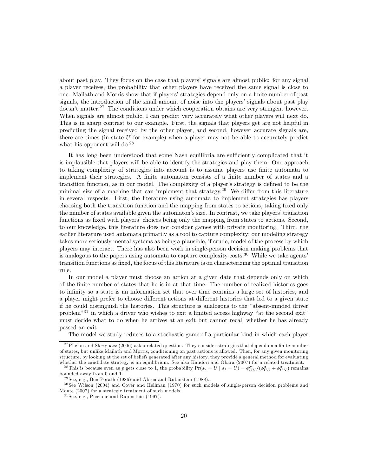about past play. They focus on the case that players' signals are almost public: for any signal a player receives, the probability that other players have received the same signal is close to one. Mailath and Morris show that if players' strategies depend only on a finite number of past signals, the introduction of the small amount of noise into the players' signals about past play doesn't matter.<sup>27</sup> The conditions under which cooperation obtains are very stringent however. When signals are almost public, I can predict very accurately what other players will next do. This is in sharp contrast to our example. First, the signals that players get are not helpful in predicting the signal received by the other player, and second, however accurate signals are, there are times (in state  $U$  for example) when a player may not be able to accurately predict what his opponent will do.<sup>28</sup>

It has long been understood that some Nash equilibria are sufficiently complicated that it is implausible that players will be able to identify the strategies and play them. One approach to taking complexity of strategies into account is to assume players use finite automata to implement their strategies. A finite automaton consists of a finite number of states and a transition function, as in our model. The complexity of a player's strategy is defined to be the minimal size of a machine that can implement that strategy.<sup>29</sup> We differ from this literature in several respects. First, the literature using automata to implement strategies has players choosing both the transition function and the mapping from states to actions, taking fixed only the number of states available given the automaton's size. In contrast, we take players' transition functions as fixed with players' choices being only the mapping from states to actions. Second, to our knowledge, this literature does not consider games with private monitoring. Third, the earlier literature used automata primarily as a tool to capture complexity; our modeling strategy takes more seriously mental systems as being a plausible, if crude, model of the process by which players may interact. There has also been work in single-person decision making problems that is analogous to the papers using automata to capture complexity costs.<sup>30</sup> While we take agents' transition functions as fixed, the focus of this literature is on characterizing the optimal transition rule.

In our model a player must choose an action at a given date that depends only on which of the finite number of states that he is in at that time. The number of realized histories goes to infinity so a state is an information set that over time contains a large set of histories, and a player might prefer to choose different actions at different histories that led to a given state if he could distinguish the histories. This structure is analogous to the "absent-minded driver problem"31 in which a driver who wishes to exit a limited access highway "at the second exit" must decide what to do when he arrives at an exit but cannot recall whether he has already passed an exit.

The model we study reduces to a stochastic game of a particular kind in which each player

<sup>&</sup>lt;sup>27</sup>Phelan and Skrzypacz (2006) ask a related question. They consider strategies that depend on a finite number of states, but unlike Mailath and Morris, conditioning on past actions is allowed. Then, for any given monitoring structure, by looking at the set of beliefs generated after any history, they provide a general method for evaluating whether the candidate strategy is an equilibrium. See also Kandori and Obara (2007) for a related treatment.

<sup>&</sup>lt;sup>28</sup>This is because even as p gets close to 1, the probability  $Pr(s_2 = U \mid s_1 = U) = \phi_{UU}^{\sigma}/(\phi_{UU}^{\sigma} + \phi_{UN}^{\sigma})$  remains bounded away from 0 and 1.

 $29$  See, e.g., Ben-Porath (1986) and Abreu and Rubinstein (1988).

<sup>3 0</sup> See Wilson (2004) and Cover and Hellman (1970) for such models of single-person decision problems and Monte (2007) for a strategic treatment of such models.

 $31$  See, e.g., Piccione and Rubinstein (1997).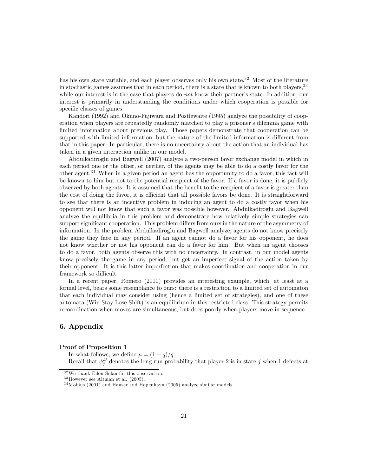has his own state variable, and each player observes only his own state.<sup>32</sup> Most of the literature in stochastic games assumes that in each period, there is a state that is known to both players, <sup>33</sup> while our interest is in the case that players do *not* know their partner's state. In addition, our interest is primarily in understanding the conditions under which cooperation is possible for specific classes of games.

Kandori (1992) and Okuno-Fujiwara and Postlewaite (1995) analyze the possibility of cooperation when players are repeatedly randomly matched to play a prisoner's dilemma game with limited information about previous play. Those papers demonstrate that cooperation can be supported with limited information, but the nature of the limited information is different from that in this paper. In particular, there is no uncertainty about the action that an individual has taken in a given interaction unlike in our model.

Abdulkadiroglu and Bagwell (2007) analyze a two-person favor exchange model in which in each period one or the other, or neither, of the agents may be able to do a costly favor for the other agent.34 When in a given period an agent has the opportunity to do a favor, this fact will be known to him but not to the potential recipient of the favor. If a favor is done, it is publicly observed by both agents. It is assumed that the benefit to the recipient of a favor is greater than the cost of doing the favor, it is efficient that all possible favors be done. It is straightforward to see that there is an incentive problem in inducing an agent to do a costly favor when his opponent will not know that such a favor was possible however. Abdulkadiroglu and Bagwell analyze the equilibria in this problem and demonstrate how relatively simple strategies can support significant cooperation. This problem differs from ours in the nature of the asymmetry of information. In the problem Abdulkadiroglu and Bagwell analyze, agents do not know precisely the game they face in any period. If an agent cannot do a favor for his opponent, he does not know whether or not his opponent can do a favor for him. But when an agent chooses to do a favor, both agents observe this with no uncertainty. In contrast, in our model agents know precisely the game in any period, but get an imperfect signal of the action taken by their opponent. It is this latter imperfection that makes coordination and cooperation in our framework so difficult.

In a recent paper, Romero (2010) provides an interesting example, which, at least at a formal level, bears some resemblance to ours: there is a restriction to a limited set of automaton that each individual may consider using (hence a limited set of strategies), and one of these automata (Win Stay Lose Shift) is an equilibrium in this restricted class. This strategy permits recoordination when moves are simultaneous, but does poorly when players move in sequence.

## 6. Appendix

### Proof of Proposition 1

In what follows, we define  $\mu = (1 - q)/q$ . Recall that  $\phi_j^D$  denotes the long run probability that player 2 is in state j when 1 defects at

 $32$ We thank Eilon Solan for this observation.

 $33$  However see Altman et al.  $(2005)$ .

 $34$ Mobius (2001) and Hauser and Hopenhayn (2005) analyze similar models.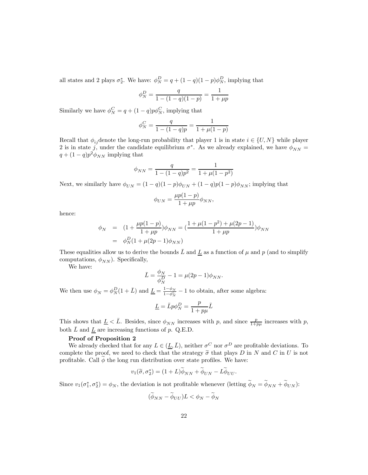all states and 2 plays  $\sigma_2^*$ . We have:  $\phi_N^D = q + (1 - q)(1 - p)\phi_N^D$ , implying that

$$
\phi_N^D = \frac{q}{1 - (1 - q)(1 - p)} = \frac{1}{1 + \mu p}
$$

Similarly we have  $\phi_N^C = q + (1 - q)p\phi_N^C$ , implying that

$$
\phi_N^C = \frac{q}{1 - (1 - q)p} = \frac{1}{1 + \mu(1 - p)}
$$

Recall that  $\phi_{ij}$  denote the long-run probability that player 1 is in state  $i \in \{U, N\}$  while player 2 is in state j, under the candidate equilibrium  $\sigma^*$ . As we already explained, we have  $\phi_{NN}$  =  $q + (1 - q)p^2 \phi_{NN}$  implying that

$$
\phi_{NN} = \frac{q}{1 - (1 - q)p^2} = \frac{1}{1 + \mu(1 - p^2)}
$$

Next, we similarly have  $\phi_{UN} = (1 - q)(1 - p)\phi_{UN} + (1 - q)p(1 - p)\phi_{NN}$ ; implying that

$$
\phi_{UN} = \frac{\mu p (1 - p)}{1 + \mu p} \phi_{NN},
$$

hence:

$$
\phi_N = (1 + \frac{\mu p(1-p)}{1 + \mu p})\phi_{NN} = (\frac{1 + \mu(1-p^2) + \mu(2p-1)}{1 + \mu p})\phi_{NN}
$$
  
=  $\phi_N^D (1 + \mu(2p-1)\phi_{NN})$ 

These equalities allow us to derive the bounds  $\bar{L}$  and  $\underline{L}$  as a function of  $\mu$  and  $p$  (and to simplify computations,  $\phi_{NN}$ ). Specifically,

We have:

$$
\bar{L} = \frac{\phi_N}{\phi_N^D} - 1 = \mu(2p - 1)\phi_{NN}.
$$

We then use  $\phi_N = \phi_N^D(1 + \bar{L})$  and  $\underline{L} = \frac{1 - \phi_N}{1 - \phi_N^C} - 1$  to obtain, after some algebra:

$$
\underline{L} = \bar{L}p\phi_N^D = \frac{p}{1 + p\mu}\bar{L}
$$

This shows that  $\underline{L} < \overline{L}$ . Besides, since  $\phi_{NN}$  increases with p, and since  $\frac{p}{1+p\mu}$  increases with p, both  $\bar{L}$  and  $\underline{L}$  are increasing functions of p. Q.E.D.

## Proof of Proposition 2

We already checked that for any  $L \in (\underline{L}, \overline{L})$ , neither  $\sigma^C$  nor  $\sigma^D$  are profitable deviations. To complete the proof, we need to check that the strategy  $\tilde{\sigma}$  that plays D in N and C in U is not profitable. Call  $\phi$  the long run distribution over state profiles. We have:

$$
v_1(\widetilde{\sigma}, \sigma_2^*) = (1+L)\widetilde{\phi}_{NN} + \widetilde{\phi}_{UN} - L\widetilde{\phi}_{UU}.
$$

Since  $v_1(\sigma_1^*, \sigma_2^*) = \phi_N$ , the deviation is not profitable whenever (letting  $\phi_N = \phi_{NN} + \phi_{UN}$ ):

$$
(\widetilde{\phi}_{NN} - \widetilde{\phi}_{UU})L < \phi_N - \widetilde{\phi}_N
$$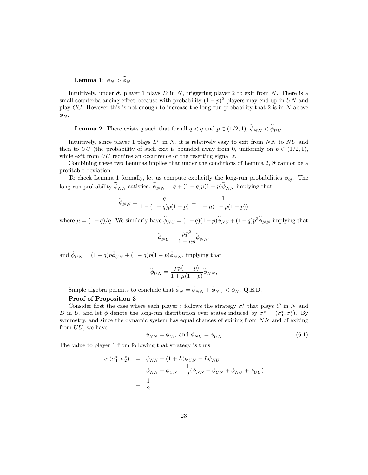**Lemma 1:**  $\phi_N > \widetilde{\phi}_N$ 

Intuitively, under  $\tilde{\sigma}$ , player 1 plays D in N, triggering player 2 to exit from N. There is a small counterbalancing effect because with probability  $(1-p)^2$  players may end up in UN and play  $CC$ . However this is not enough to increase the long-run probability that 2 is in N above  $\phi_N$ .

**Lemma 2:** There exists  $\bar{q}$  such that for all  $q < \bar{q}$  and  $p \in (1/2, 1), \, \widetilde{\phi}_{NN} < \widetilde{\phi}_{UU}$ 

Intuitively, since player 1 plays  $D$  in  $N$ , it is relatively easy to exit from  $NN$  to  $NU$  and then to UU (the probability of such exit is bounded away from 0, uniformly on  $p \in (1/2, 1)$ , while exit from UU requires an occurrence of the resetting signal z.

Combining these two Lemmas implies that under the conditions of Lemma 2,  $\tilde{\sigma}$  cannot be a profitable deviation.

To check Lemma 1 formally, let us compute explicitly the long-run probabilities  $\phi_{ij}$ . The long run probability  $\widetilde{\phi}_{NN}$  satisfies:  $\widetilde{\phi}_{NN} = q + (1 - q)p(1 - p)\widetilde{\phi}_{NN}$  implying that

$$
\widetilde{\phi}_{NN} = \frac{q}{1 - (1 - q)p(1 - p)} = \frac{1}{1 + \mu(1 - p(1 - p))}
$$

where  $\mu = (1-q)/q$ . We similarly have  $\widetilde{\phi}_{NU} = (1-q)(1-p)\widetilde{\phi}_{NU} + (1-q)p^2\widetilde{\phi}_{NN}$  implying that

$$
\widetilde{\phi}_{NU} = \frac{\mu p^2}{1 + \mu p} \widetilde{\phi}_{NN},
$$

and  $\widetilde{\phi}_{UN} = (1-q)p\widetilde{\phi}_{UN} + (1-q)p(1-p)\widetilde{\phi}_{NN}$ , implying that

$$
\widetilde{\phi}_{UN} = \frac{\mu p(1-p)}{1 + \mu(1-p)} \widetilde{\phi}_{NN},
$$

Simple algebra permits to conclude that  $\widetilde{\phi}_N = \widetilde{\phi}_{NN} + \widetilde{\phi}_{NU} < \phi_N.$  Q.E.D.

## Proof of Proposition 3

Consider first the case where each player i follows the strategy  $\sigma_i^*$  that plays C in N and D in U, and let  $\phi$  denote the long-run distribution over states induced by  $\sigma^* = (\sigma_1^*, \sigma_2^*)$ . By symmetry, and since the dynamic system has equal chances of exiting from NN and of exiting from UU, we have:

$$
\phi_{NN} = \phi_{UU} \text{ and } \phi_{NU} = \phi_{UN} \tag{6.1}
$$

The value to player 1 from following that strategy is thus

$$
v_1(\sigma_1^*, \sigma_2^*) = \phi_{NN} + (1+L)\phi_{UN} - L\phi_{NU}
$$
  
=  $\phi_{NN} + \phi_{UN} = \frac{1}{2}(\phi_{NN} + \phi_{UN} + \phi_{NU} + \phi_{UU})$   
=  $\frac{1}{2}$ .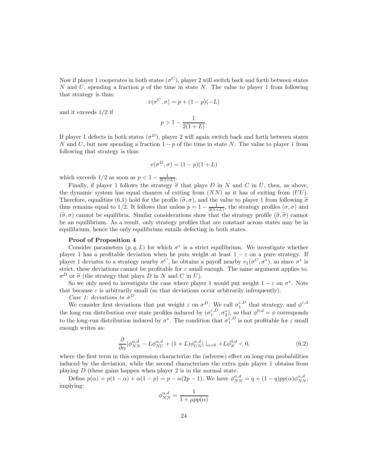Now if player 1 cooperates in both states ( $\sigma^C$ ), player 2 will switch back and forth between states N and U, spending a fraction p of the time in state N. The value to player 1 from following that strategy is thus:

$$
v(\sigma^C, \sigma) = p + (1 - p)(-L)
$$

and it exceeds 1/2 if

$$
p > 1 - \frac{1}{2(1+L)}.
$$

If player 1 defects in both states  $(\sigma^D)$ , player 2 will again switch back and forth between states N and U, but now spending a fraction  $1 - p$  of the time in state N. The value to player 1 from following that strategy is thus:

$$
v(\sigma^D, \sigma) = (1 - p)(1 + L)
$$

which exceeds  $1/2$  as soon as  $p < 1 - \frac{1}{2(1+L)}$ .

Finally, if player 1 follows the strategy  $\hat{\sigma}$  that plays D in N and C in U, then, as above, the dynamic system has equal chances of exiting from  $(NN)$  as it has of exiting from  $(UU)$ . Therefore, equalities (6.1) hold for the profile  $(\hat{\sigma}, \sigma)$ , and the value to player 1 from following  $\hat{\sigma}$ thus remains equal to 1/2. It follows that unless  $p = 1 - \frac{1}{2(1+L)}$ , the strategy profiles  $(\sigma, \sigma)$  and  $(\hat{\sigma}, \sigma)$  cannot be equilibria. Similar considerations show that the strategy profile  $(\hat{\sigma}, \hat{\sigma})$  cannot be an equilibrium. As a result, only strategy profiles that are constant across states may be in equilibrium, hence the only equilibrium entails defecting in both states.

## Proof of Proposition 4

Consider parameters  $(p, q, L)$  for which  $\sigma^*$  is a strict equilibrium. We investigate whether player 1 has a profitable deviation when he puts weight at least  $1 - \varepsilon$  on a pure strategy. If player 1 deviates to a strategy nearby  $\sigma^C$ , he obtains a payoff nearby  $v_1(\sigma^C, \sigma^*)$ , so since  $\sigma^*$  is strict, these deviations cannot be profitable for  $\varepsilon$  small enough. The same argument applies to.  $\sigma^D$  or  $\tilde{\sigma}$  (the strategy that plays D in N and C in U).

So we only need to investigate the case where player 1 would put weight  $1 - \varepsilon$  on  $\sigma^*$ . Note that because  $\varepsilon$  is arbitrarily small (so that deviations occur arbitrarily infrequently).

Case 1: deviations to  $\sigma^D$ .

We consider first deviations that put weight  $\varepsilon$  on  $\sigma^D$ . We call  $\sigma_1^{\varepsilon,D}$  that strategy, and  $\phi^{\varepsilon,d}$ the long run distribution over state profiles induced by  $(\sigma_1^{\varepsilon,D}, \sigma_2^*)$ , so that  $\phi^{0,d} = \phi$  corresponds to the long-run distribution induced by  $\sigma^*$ . The condition that  $\sigma_1^{\varepsilon,D}$  is not profitable for  $\varepsilon$  small enough writes as:

$$
\frac{\partial}{\partial \alpha} [\phi_{NN}^{\alpha,d} - L\phi_{NU}^{\alpha,d} + (1+L)\phi_{UN}^{\alpha,d}] |_{\alpha=0} + L\phi_N^{0,d} < 0,\tag{6.2}
$$

where the first term in this expression characterize the (adverse) effect on long-run probabilities induced by the deviation, while the second characterizes the extra gain player 1 obtains from playing D (these gains happen when player 2 is in the normal state.

Define  $p(\alpha) = p(1 - \alpha) + \alpha(1 - p) = p - \alpha(2p - 1)$ . We have  $\phi_{NN}^{\alpha,d} = q + (1 - q)pp(\alpha)\phi_{NN}^{\alpha,d}$ , implying:

$$
\phi_{NN}^{\alpha,d} = \frac{1}{1 + \mu pp(\alpha)}
$$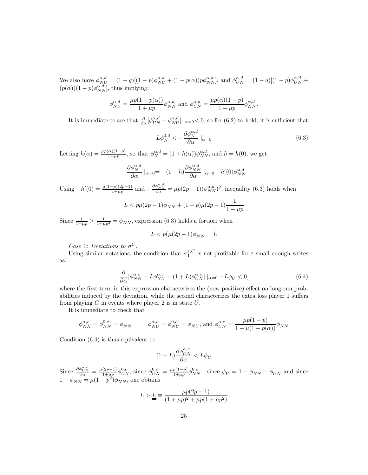We also have  $\phi_{N,U}^{\alpha,d} = (1-q)[(1-p)\phi_{NU}^{\alpha,d} + (1-p(\alpha))p\phi_{NN}^{\alpha,d}],$  and  $\phi_{UN}^{\alpha,d} = (1-q)[(1-p)\phi_{UN}^{\alpha,d} + (1-p(\alpha))p\phi_{NN}^{\alpha,d}]$  $(p(\alpha))(1-p)\phi_{NN}^{\alpha,d}],$  thus implying:

$$
\phi_{NU}^{\alpha,d} = \frac{\mu p(1 - p(\alpha))}{1 + \mu p} \phi_{NN}^{\alpha,d} \text{ and } \phi_{UN}^{\alpha,d} = \frac{\mu p(\alpha)(1 - p)}{1 + \mu p} \phi_{NN}^{\alpha,d}.
$$

It is immediate to see that  $\frac{\partial}{\partial \alpha} [\phi_{UN}^{\alpha, d} - \phi_{NU}^{\alpha, d}]|_{\alpha=0} < 0$ , so for (6.2) to hold, it is sufficient that

$$
L\phi_N^{0,d} < -\frac{\partial \phi_N^{\alpha,d}}{\partial \alpha} \mid_{\alpha=0} \tag{6.3}
$$

Letting  $h(\alpha) = \frac{\mu p(\alpha)(1-p)}{1+\mu p}$ , so that  $\phi_N^{\alpha,d} = (1+h(\alpha))\phi_{NN}^{\alpha,d}$ , and  $h = h(0)$ , we get

$$
-\frac{\partial \phi_N^{\alpha,d}}{\partial \alpha}|_{\alpha=0} = -(1+h)\frac{\partial \phi_{NN}^{\alpha,d}}{\partial \alpha}|_{\alpha=0} - h'(0)\phi_{NN}^{\alpha,d}
$$

Using  $-h'(0) = \frac{\mu(1-p)(2p-1)}{1+\mu p}$  and  $-\frac{\partial \phi_N^{\alpha,d}}{\partial \alpha} = \mu p(2p-1)(\phi_{NN}^{\alpha,d})^2$ , inequality (6.3) holds when

$$
L < p\mu(2p-1)\phi_{NN} + (1-p)\mu(2p-1)\frac{1}{1+\mu p}
$$

Since  $\frac{1}{1+\mu p} > \frac{1}{1+\mu p^2} = \phi_{NN}$ , expression (6.3) holds a fortiori when

$$
L < p(\mu(2p-1)\phi_{NN} = \bar{L}
$$

Case 2: Deviations to  $\sigma^C$ .

Using similar notations, the condition that  $\sigma_1^{\varepsilon,C}$  is not profitable for  $\varepsilon$  small enough writes as:

$$
\frac{\partial}{\partial \alpha} [\phi_{NN}^{\alpha,c} - L\phi_{NU}^{\alpha,c} + (1+L)\phi_{UN}^{\alpha,c}]|_{\alpha=0} - L\phi_U < 0,\tag{6.4}
$$

where the first term in this expression characterizes the (now positive) effect on long-run probabilities induced by the deviation, while the second characterizes the extra loss player 1 suffers from playing  $C$  in events where player 2 is in state  $U$ .

It is immediate to check that

$$
\phi_{NN}^{\alpha,c} = \phi_{NN}^{0,c} = \phi_{NN}
$$
  $\qquad \phi_{NU}^{\alpha,c} = \phi_{NU}^{0,c} = \phi_{NU}$ , and  $\phi_{UN}^{\alpha,c} = \frac{\mu p (1 - p)}{1 + \mu (1 - p(\alpha))} \phi_{NN}$ 

Condition (6.4) is thus equivalent to

$$
(1+L)\frac{\partial \phi_{UN}^{\alpha,c}}{\partial \alpha}
$$

Since  $\frac{\partial \phi_{U_N}^{\alpha,c}}{\partial \alpha} = \frac{\mu(2p-1)}{1+\mu p} \phi_{UN}^{0,c}$ , since  $\phi_{UN}^{0,c} = \frac{\mu p(1-p)}{1+\mu p} \phi_{NN}^{0,c}$ , since  $\phi_{U} = 1 - \phi_{NN} - \phi_{UN}$  and since  $1 - \phi_{NN} = \mu (1 - p^2) \phi_{NN}$ , one obtains

$$
L > \underline{\underline{L}} \equiv \frac{\mu p (2p - 1)}{(1 + \mu p)^2 + \mu p (1 + \mu p^2)}
$$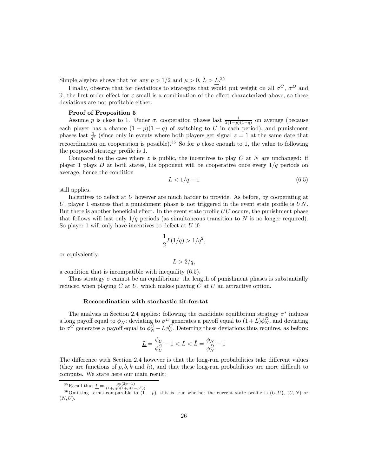Simple algebra shows that for any  $p > 1/2$  and  $\mu > 0$ ,  $\underline{L} > \underline{L}^{35}$ .

Finally, observe that for deviations to strategies that would put weight on all  $\sigma^C$ ,  $\sigma^D$  and  $\tilde{\sigma}$ , the first order effect for  $\varepsilon$  small is a combination of the effect characterized above, so these deviations are not profitable either.

## Proof of Proposition 5

Assume p is close to 1. Under  $\sigma$ , cooperation phases last  $\frac{1}{2(1-p)(1-q)}$  on average (because each player has a chance  $(1 - p)(1 - q)$  of switching to U in each period), and punishment phases last  $\frac{1}{q^2}$  (since only in events where both players get signal  $z = 1$  at the same date that recoordination on cooperation is possible).<sup>36</sup> So for p close enough to 1, the value to following the proposed strategy profile is 1.

Compared to the case where z is public, the incentives to play  $C$  at  $N$  are unchanged: if player 1 plays D at both states, his opponent will be cooperative once every  $1/q$  periods on average, hence the condition

$$
L < 1/q - 1 \tag{6.5}
$$

still applies.

Incentives to defect at U however are much harder to provide. As before, by cooperating at U, player 1 ensures that a punishment phase is not triggered in the event state profile is  $UN$ . But there is another beneficial effect. In the event state profile  $UU$  occurs, the punishment phase that follows will last only  $1/q$  periods (as simultaneous transition to N is no longer required). So player 1 will only have incentives to defect at  $U$  if:

$$
\frac{1}{2}L(1/q) > 1/q^2,
$$

or equivalently

 $L > 2/q$ ,

a condition that is incompatible with inequality (6.5).

Thus strategy  $\sigma$  cannot be an equilibrium: the length of punishment phases is substantially reduced when playing  $C$  at  $U$ , which makes playing  $C$  at  $U$  an attractive option.

#### Recoordination with stochastic tit-for-tat

The analysis in Section 2.4 applies: following the candidate equilibrium strategy  $\sigma^*$  induces a long payoff equal to  $\phi_N$ ; deviating to  $\sigma^D$  generates a payoff equal to  $(1+L)\phi_N^D$ , and deviating to  $\sigma^C$  generates a payoff equal to  $\phi_N^C - L\phi_U^C$ . Deterring these deviations thus requires, as before:

$$
\underline{L}=\frac{\phi_U}{\phi_U^C}-1
$$

The difference with Section 2.4 however is that the long-run probabilities take different values (they are functions of p, b, k and h), and that these long-run probabilities are more difficult to compute. We state here our main result:

<sup>&</sup>lt;sup>35</sup> Recall that  $\underline{L} = \frac{\mu p (2p-1)}{(1+\mu p)(1+\mu(1-p^2))}$ .

<sup>&</sup>lt;sup>36</sup>Omitting terms comparable to  $(1-p)$ , this is true whether the current state profile is  $(U, U)$ ,  $(U, N)$  or  $(N, U)$ .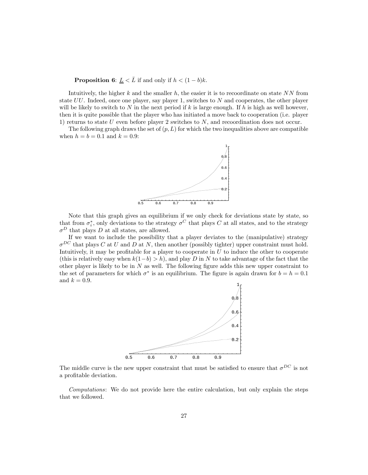## **Proposition 6:**  $\underline{L} < \overline{L}$  if and only if  $h < (1 - b)k$ .

Intuitively, the higher k and the smaller  $h$ , the easier it is to recoordinate on state NN from state  $UU$ . Indeed, once one player, say player 1, switches to  $N$  and cooperates, the other player will be likely to switch to N in the next period if k is large enough. If h is high as well however, then it is quite possible that the player who has initiated a move back to cooperation (i.e. player 1) returns to state  $U$  even before player 2 switches to  $N$ , and recoordination does not occur.

The following graph draws the set of  $(p, L)$  for which the two inequalities above are compatible when  $h = b = 0.1$  and  $k = 0.9$ :



Note that this graph gives an equilibrium if we only check for deviations state by state, so that from  $\sigma_i^*$ , only deviations to the strategy  $\sigma^C$  that plays C at all states, and to the strategy  $\sigma^D$  that plays D at all states, are allowed.

If we want to include the possibility that a player deviates to the (manipulative) strategy  $\sigma^{DC}$  that plays C at U and D at N, then another (possibly tighter) upper constraint must hold. Intuitively, it may be profitable for a player to cooperate in  $U$  to induce the other to cooperate (this is relatively easy when  $k(1-b) > h$ ), and play D in N to take advantage of the fact that the other player is likely to be in  $N$  as well. The following figure adds this new upper constraint to the set of parameters for which  $\sigma^*$  is an equilibrium. The figure is again drawn for  $b = h = 0.1$ and  $k = 0.9$ .



The middle curve is the new upper constraint that must be satisfied to ensure that  $\sigma^{DC}$  is not a profitable deviation.

Computations: We do not provide here the entire calculation, but only explain the steps that we followed.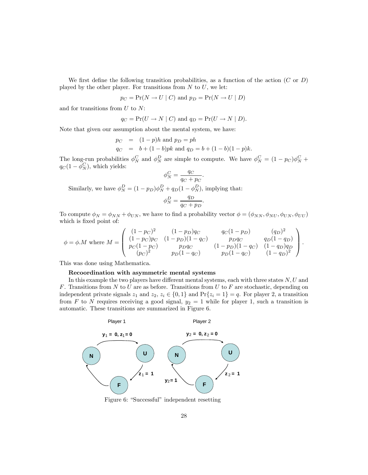We first define the following transition probabilities, as a function of the action  $(C \text{ or } D)$ played by the other player. For transitions from  $N$  to  $U$ , we let:

$$
p_C = \Pr(N \to U \mid C) \text{ and } p_D = \Pr(N \to U \mid D)
$$

and for transitions from  $U$  to  $N$ :

$$
q_C = \Pr(U \to N \mid C)
$$
 and  $q_D = \Pr(U \to N \mid D)$ .

Note that given our assumption about the mental system, we have:

$$
p_C = (1-p)h \text{ and } p_D = ph
$$
  
\n
$$
q_C = b + (1-b)pk \text{ and } q_D = b + (1-b)(1-p)k.
$$

The long-run probabilities  $\phi_N^C$  and  $\phi_N^D$  are simple to compute. We have  $\phi_N^C = (1 - pc)\phi_N^C +$  $q_C(1 - \phi_N^C)$ , which yields:<br>  $\phi_N^C = \frac{q_C}{\phi_N^C}$ 

$$
\phi_N^C = \frac{q_C}{q_C + p_C}
$$

.

.

Similarly, we have  $\phi_N^D = (1 - p_D)\phi_N^D + q_D(1 - \phi_N^D)$ , implying that:

$$
\phi_N^D = \frac{q_D}{q_C + p_D}
$$

To compute  $\phi_N = \phi_{NN} + \phi_{UN}$ , we have to find a probability vector  $\phi = (\phi_{NN}, \phi_{NU}, \phi_{UN}, \phi_{UU})$ which is fixed point of:

$$
\phi = \phi.M \text{ where } M = \begin{pmatrix} (1 - pc)^2 & (1 - p_D)q_C & q_C(1 - p_D) & (q_D)^2 \\ (1 - pc)p_C & (1 - p_D)(1 - q_C) & p_Dq_C & q_D(1 - q_D) \\ p_C(1 - p_C) & p_Dq_C & (1 - p_D)(1 - q_C) & (1 - q_D)q_D \\ (p_C)^2 & p_D(1 - q_C) & p_D(1 - q_C) & (1 - q_D)^2 \end{pmatrix}.
$$

This was done using Mathematica.

## Recoordination with asymmetric mental systems

In this example the two players have different mental systems, each with three states  $N, U$  and  $F$ . Transitions from  $N$  to  $U$  are as before. Transitions from  $U$  to  $F$  are stochastic, depending on independent private signals  $z_1$  and  $z_2$ ,  $z_i \in \{0,1\}$  and  $\Pr\{z_i = 1\} = q$ . For player 2, a transition from F to N requires receiving a good signal,  $y_2 = 1$  while for player 1, such a transition is automatic. These transitions are summarized in Figure 6.

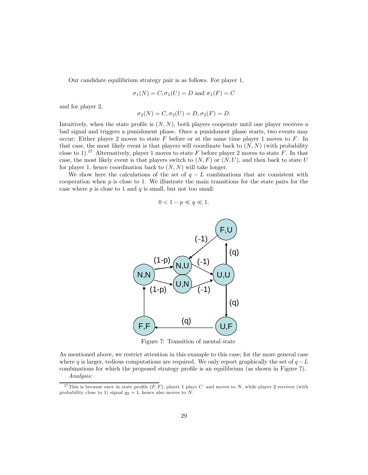Our candidate equilibrium strategy pair is as follows. For player 1,

$$
\sigma_1(N) = C, \sigma_1(U) = D \text{ and } \sigma_1(F) = C
$$

and for player 2,

$$
\sigma_2(N) = C, \sigma_2(U) = D, \sigma_2(F) = D.
$$

Intuitively, when the state profile is  $(N, N)$ , both players cooperate until one player receives a bad signal and triggers a punishment phase. Once a punishment phase starts, two events may occur: Either player 2 moves to state  $F$  before or at the same time player 1 moves to  $F$ . In that case, the most likely event is that players will coordinate back to  $(N, N)$  (with probability close to 1).<sup>37</sup> Alternatively, player 1 moves to state F before player 2 moves to state F. In that case, the most likely event is that players switch to  $(N, F)$  or  $(N, U)$ , and then back to state U for player 1, hence coordination back to  $(N, N)$  will take longer.

We show here the calculations of the set of  $q - L$  combinations that are consistent with cooperation when  $p$  is close to 1. We illustrate the main transitions for the state pairs for the case where  $p$  is close to 1 and  $q$  is small, but not too small:

$$
0 < 1 - p \ll q \ll 1.
$$



Figure 7: Transition of mental state

As mentioned above, we restrict attention in this example to this case; for the more general case where q is larger, tedious computations are required. We only report graphically the set of  $q - L$ combinations for which the proposed strategy profile is an equilibrium (as shown in Figure 7). Analysis:

 $37$ This is because once in state profile  $(F, F)$ , player 1 plays C and moves to N, while player 2 receives (with probability close to 1) signal  $y_2 = 1$ , hence also moves to N.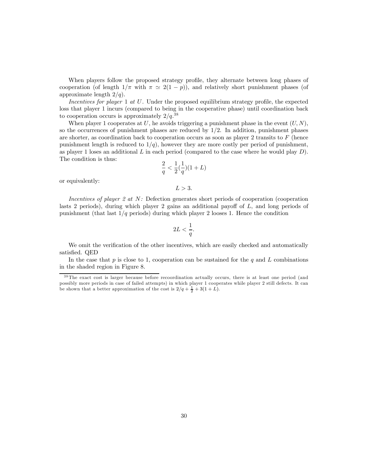When players follow the proposed strategy profile, they alternate between long phases of cooperation (of length  $1/\pi$  with  $\pi \simeq 2(1 - p)$ ), and relatively short punishment phases (of approximate length  $2/q$ .

Incentives for player 1 at U. Under the proposed equilibrium strategy profile, the expected loss that player 1 incurs (compared to being in the cooperative phase) until coordination back to cooperation occurs is approximately  $2/q^{38}$ 

When player 1 cooperates at U, he avoids triggering a punishment phase in the event  $(U, N)$ , so the occurrences of punishment phases are reduced by  $1/2$ . In addition, punishment phases are shorter, as coordination back to cooperation occurs as soon as player 2 transits to  $F$  (hence punishment length is reduced to  $1/q$ , however they are more costly per period of punishment, as player 1 loses an additional  $L$  in each period (compared to the case where he would play  $D$ ). The condition is thus:

$$
\frac{2}{q}<\frac{1}{2}(\frac{1}{q})(1+L)
$$

or equivalently:

 $L > 3$ .

Incentives of player 2 at N: Defection generates short periods of cooperation (cooperation lasts 2 periods), during which player 2 gains an additional payoff of L, and long periods of punishment (that last  $1/q$  periods) during which player 2 looses 1. Hence the condition

$$
2L<\frac{1}{q}.
$$

We omit the verification of the other incentives, which are easily checked and automatically satisfied. QED

In the case that  $p$  is close to 1, cooperation can be sustained for the  $q$  and  $L$  combinations in the shaded region in Figure 8.

<sup>&</sup>lt;sup>38</sup>The exact cost is larger because before recoordination actually occurs, there is at least one period (and possibly more periods in case of failed attempts) in which player 1 cooperates while player 2 still defects. It can be shown that a better approximation of the cost is  $2/q + \frac{1}{2} + 3(1+L)$ .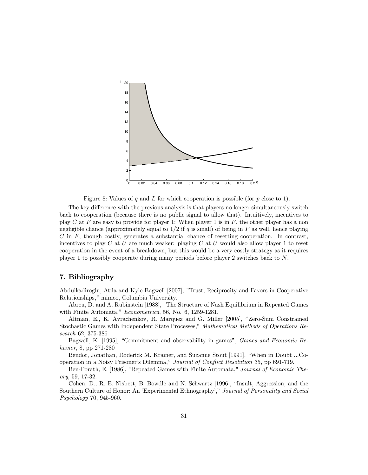

Figure 8: Values of q and L for which cooperation is possible (for  $p$  close to 1).

The key difference with the previous analysis is that players no longer simultaneously switch back to cooperation (because there is no public signal to allow that). Intuitively, incentives to play C at F are easy to provide for player 1: When player 1 is in  $F$ , the other player has a non negligible chance (approximately equal to  $1/2$  if q is small) of being in F as well, hence playing C in F, though costly, generates a substantial chance of resetting cooperation. In contrast, incentives to play C at U are much weaker: playing C at U would also allow player 1 to reset cooperation in the event of a breakdown, but this would be a very costly strategy as it requires player 1 to possibly cooperate during many periods before player 2 switches back to N.

## 7. Bibliography

Abdulkadiroglu, Atila and Kyle Bagwell [2007], "Trust, Reciprocity and Favors in Cooperative Relationships," mimeo, Columbia University.

Abreu, D. and A. Rubinstein [1988], "The Structure of Nash Equilibrium in Repeated Games with Finite Automata," Econometrica, 56, No. 6, 1259-1281.

Altman, E., K. Avrachenkov, R. Marquez and G. Miller [2005], "Zero-Sum Constrained Stochastic Games with Independent State Processes," Mathematical Methods of Operations Research 62, 375-386.

Bagwell, K. [1995], "Commitment and observability in games", Games and Economic Behavior, 8, pp 271-280

Bendor, Jonathan, Roderick M. Kramer, and Suzanne Stout [1991], "When in Doubt ...Cooperation in a Noisy Prisoner's Dilemma," Journal of Conflict Resolution 35, pp 691-719.

Ben-Porath, E. [1986], "Repeated Games with Finite Automata," Journal of Economic Theory, 59, 17-32.

Cohen, D., R. E. Nisbett, B. Bowdle and N. Schwartz [1996], "Insult, Aggression, and the Southern Culture of Honor: An 'Experimental Ethnography'," Journal of Personality and Social Psychology 70, 945-960.